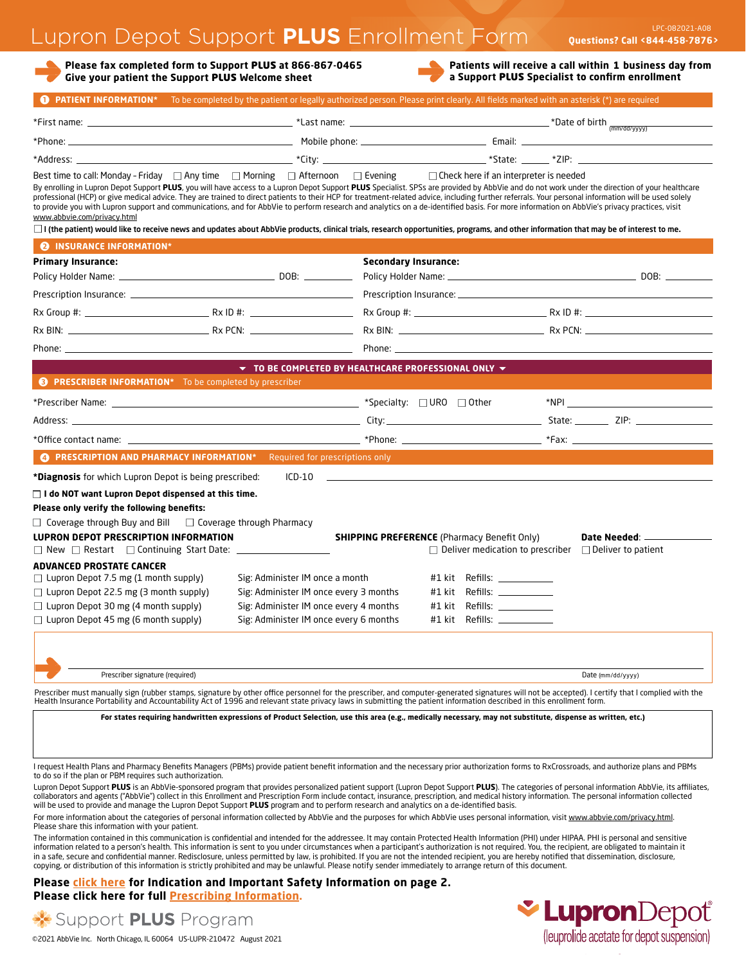# Lupron Depot Support **PLUS** Enrollment Form

**Please fax completed form to Support** PLUS **at 866-867-0465 Give your patient the Support** PLUS **Welcome sheet**

**Patients will receive a call within 1 business day from a Support** PLUS **Specialist to confirm enrollment**

|                                                                                                                                                                                                                                                                                                                                                                                                                                                                                                                                                                                                                                                                                                                                                                                                                                                                                                                                          |                                        |                                                                                                                                                             |                                               | <b>O</b> PATIENT INFORMATION* To be completed by the patient or legally authorized person. Please print clearly. All fields marked with an asterisk (*) are required |
|------------------------------------------------------------------------------------------------------------------------------------------------------------------------------------------------------------------------------------------------------------------------------------------------------------------------------------------------------------------------------------------------------------------------------------------------------------------------------------------------------------------------------------------------------------------------------------------------------------------------------------------------------------------------------------------------------------------------------------------------------------------------------------------------------------------------------------------------------------------------------------------------------------------------------------------|----------------------------------------|-------------------------------------------------------------------------------------------------------------------------------------------------------------|-----------------------------------------------|----------------------------------------------------------------------------------------------------------------------------------------------------------------------|
|                                                                                                                                                                                                                                                                                                                                                                                                                                                                                                                                                                                                                                                                                                                                                                                                                                                                                                                                          |                                        |                                                                                                                                                             |                                               |                                                                                                                                                                      |
|                                                                                                                                                                                                                                                                                                                                                                                                                                                                                                                                                                                                                                                                                                                                                                                                                                                                                                                                          |                                        |                                                                                                                                                             |                                               |                                                                                                                                                                      |
|                                                                                                                                                                                                                                                                                                                                                                                                                                                                                                                                                                                                                                                                                                                                                                                                                                                                                                                                          |                                        |                                                                                                                                                             |                                               |                                                                                                                                                                      |
| Best time to call: Monday - Friday $\Box$ Any time $\Box$ Morning $\Box$ Afternoon $\Box$ Evening<br>By enrolling in Lupron Depot Support PLUS, you will have access to a Lupron Depot Support PLUS Specialist. SPSs are provided by AbbVie and do not work under the direction of your healthcare<br>professional (HCP) or give medical advice. They are trained to direct patients to their HCP for treatment-related advice, including further referrals. Your personal information will be used solely<br>to provide you with Lupron support and communications, and for AbbVie to perform research and analytics on a de-identified basis. For more information on AbbVie's privacy practices, visit<br>www.abbvie.com/privacy.html<br>$\Box$ I (the patient) would like to receive news and updates about AbbVie products, clinical trials, research opportunities, programs, and other information that may be of interest to me. |                                        |                                                                                                                                                             | $\Box$ Check here if an interpreter is needed |                                                                                                                                                                      |
| <b>@ INSURANCE INFORMATION*</b>                                                                                                                                                                                                                                                                                                                                                                                                                                                                                                                                                                                                                                                                                                                                                                                                                                                                                                          |                                        |                                                                                                                                                             |                                               |                                                                                                                                                                      |
| Primary Insurance:                                                                                                                                                                                                                                                                                                                                                                                                                                                                                                                                                                                                                                                                                                                                                                                                                                                                                                                       |                                        | <b>Secondary Insurance:</b>                                                                                                                                 |                                               |                                                                                                                                                                      |
|                                                                                                                                                                                                                                                                                                                                                                                                                                                                                                                                                                                                                                                                                                                                                                                                                                                                                                                                          |                                        |                                                                                                                                                             |                                               |                                                                                                                                                                      |
|                                                                                                                                                                                                                                                                                                                                                                                                                                                                                                                                                                                                                                                                                                                                                                                                                                                                                                                                          |                                        |                                                                                                                                                             |                                               |                                                                                                                                                                      |
|                                                                                                                                                                                                                                                                                                                                                                                                                                                                                                                                                                                                                                                                                                                                                                                                                                                                                                                                          |                                        |                                                                                                                                                             |                                               |                                                                                                                                                                      |
|                                                                                                                                                                                                                                                                                                                                                                                                                                                                                                                                                                                                                                                                                                                                                                                                                                                                                                                                          |                                        |                                                                                                                                                             |                                               |                                                                                                                                                                      |
|                                                                                                                                                                                                                                                                                                                                                                                                                                                                                                                                                                                                                                                                                                                                                                                                                                                                                                                                          |                                        |                                                                                                                                                             |                                               |                                                                                                                                                                      |
|                                                                                                                                                                                                                                                                                                                                                                                                                                                                                                                                                                                                                                                                                                                                                                                                                                                                                                                                          |                                        | $\blacktriangledown$ to be completed by Healthcare professional only $\blacktriangledown$                                                                   |                                               |                                                                                                                                                                      |
| <b>@</b> PRESCRIBER INFORMATION* To be completed by prescriber                                                                                                                                                                                                                                                                                                                                                                                                                                                                                                                                                                                                                                                                                                                                                                                                                                                                           |                                        |                                                                                                                                                             |                                               |                                                                                                                                                                      |
|                                                                                                                                                                                                                                                                                                                                                                                                                                                                                                                                                                                                                                                                                                                                                                                                                                                                                                                                          |                                        |                                                                                                                                                             |                                               |                                                                                                                                                                      |
|                                                                                                                                                                                                                                                                                                                                                                                                                                                                                                                                                                                                                                                                                                                                                                                                                                                                                                                                          |                                        |                                                                                                                                                             |                                               |                                                                                                                                                                      |
|                                                                                                                                                                                                                                                                                                                                                                                                                                                                                                                                                                                                                                                                                                                                                                                                                                                                                                                                          |                                        |                                                                                                                                                             |                                               |                                                                                                                                                                      |
|                                                                                                                                                                                                                                                                                                                                                                                                                                                                                                                                                                                                                                                                                                                                                                                                                                                                                                                                          |                                        |                                                                                                                                                             |                                               |                                                                                                                                                                      |
| <b>C</b> PRESCRIPTION AND PHARMACY INFORMATION* Required for prescriptions only                                                                                                                                                                                                                                                                                                                                                                                                                                                                                                                                                                                                                                                                                                                                                                                                                                                          |                                        |                                                                                                                                                             |                                               |                                                                                                                                                                      |
|                                                                                                                                                                                                                                                                                                                                                                                                                                                                                                                                                                                                                                                                                                                                                                                                                                                                                                                                          | $ICD-10$                               | and the control of the control of the control of the control of the control of the control of the control of the                                            |                                               |                                                                                                                                                                      |
| <b>*Diagnosis</b> for which Lupron Depot is being prescribed:                                                                                                                                                                                                                                                                                                                                                                                                                                                                                                                                                                                                                                                                                                                                                                                                                                                                            |                                        |                                                                                                                                                             |                                               |                                                                                                                                                                      |
| $\sqcap$ I do NOT want Lupron Depot dispensed at this time.                                                                                                                                                                                                                                                                                                                                                                                                                                                                                                                                                                                                                                                                                                                                                                                                                                                                              |                                        |                                                                                                                                                             |                                               |                                                                                                                                                                      |
| Please only verify the following benefits:                                                                                                                                                                                                                                                                                                                                                                                                                                                                                                                                                                                                                                                                                                                                                                                                                                                                                               |                                        |                                                                                                                                                             |                                               |                                                                                                                                                                      |
|                                                                                                                                                                                                                                                                                                                                                                                                                                                                                                                                                                                                                                                                                                                                                                                                                                                                                                                                          |                                        |                                                                                                                                                             |                                               |                                                                                                                                                                      |
|                                                                                                                                                                                                                                                                                                                                                                                                                                                                                                                                                                                                                                                                                                                                                                                                                                                                                                                                          |                                        | <b>SHIPPING PREFERENCE</b> (Pharmacy Benefit Only)                                                                                                          | $\Box$ Deliver medication to prescriber       | Date Needed: __________<br>$\Box$ Deliver to patient                                                                                                                 |
|                                                                                                                                                                                                                                                                                                                                                                                                                                                                                                                                                                                                                                                                                                                                                                                                                                                                                                                                          |                                        |                                                                                                                                                             |                                               |                                                                                                                                                                      |
|                                                                                                                                                                                                                                                                                                                                                                                                                                                                                                                                                                                                                                                                                                                                                                                                                                                                                                                                          | Sig: Administer IM once a month        |                                                                                                                                                             | #1 kit Refills: $\frac{1}{2}$                 |                                                                                                                                                                      |
| $\Box$ Coverage through Buy and Bill $\Box$ Coverage through Pharmacy<br>LUPRON DEPOT PRESCRIPTION INFORMATION<br>$\Box$ New $\Box$ Restart $\Box$ Continuing Start Date: ______________________<br>ADVANCED PROSTATE CANCER<br>$\Box$ Lupron Depot 7.5 mg (1 month supply)<br>$\Box$ Lupron Depot 22.5 mg (3 month supply)                                                                                                                                                                                                                                                                                                                                                                                                                                                                                                                                                                                                              | Sig: Administer IM once every 3 months | #1 kit                                                                                                                                                      | Refills: _____________                        |                                                                                                                                                                      |
| $\Box$ Lupron Depot 30 mg (4 month supply)                                                                                                                                                                                                                                                                                                                                                                                                                                                                                                                                                                                                                                                                                                                                                                                                                                                                                               | Sig: Administer IM once every 4 months |                                                                                                                                                             | #1 kit    Refills: ____________               |                                                                                                                                                                      |
| $\Box$ Lupron Depot 45 mg (6 month supply)                                                                                                                                                                                                                                                                                                                                                                                                                                                                                                                                                                                                                                                                                                                                                                                                                                                                                               | Sig: Administer IM once every 6 months | $#1$ kit Refills: $\_\_$                                                                                                                                    |                                               |                                                                                                                                                                      |
|                                                                                                                                                                                                                                                                                                                                                                                                                                                                                                                                                                                                                                                                                                                                                                                                                                                                                                                                          |                                        |                                                                                                                                                             |                                               |                                                                                                                                                                      |
|                                                                                                                                                                                                                                                                                                                                                                                                                                                                                                                                                                                                                                                                                                                                                                                                                                                                                                                                          |                                        |                                                                                                                                                             |                                               |                                                                                                                                                                      |
| Prescriber signature (required)                                                                                                                                                                                                                                                                                                                                                                                                                                                                                                                                                                                                                                                                                                                                                                                                                                                                                                          |                                        |                                                                                                                                                             |                                               | Date (mm/dd/yyyy)                                                                                                                                                    |
|                                                                                                                                                                                                                                                                                                                                                                                                                                                                                                                                                                                                                                                                                                                                                                                                                                                                                                                                          |                                        |                                                                                                                                                             |                                               |                                                                                                                                                                      |
|                                                                                                                                                                                                                                                                                                                                                                                                                                                                                                                                                                                                                                                                                                                                                                                                                                                                                                                                          |                                        | For states requiring handwritten expressions of Product Selection, use this area (e.g., medically necessary, may not substitute, dispense as written, etc.) |                                               |                                                                                                                                                                      |
| Prescriber must manually sign (rubber stamps, signature by other office personnel for the prescriber, and computer-generated signatures will not be accepted). I certify that I complied with the<br>Health Insurance Portability and Accountability Act of 1996 and relevant state privacy laws in submitting the patient information described in this enrollment form.                                                                                                                                                                                                                                                                                                                                                                                                                                                                                                                                                                |                                        |                                                                                                                                                             |                                               |                                                                                                                                                                      |
|                                                                                                                                                                                                                                                                                                                                                                                                                                                                                                                                                                                                                                                                                                                                                                                                                                                                                                                                          |                                        |                                                                                                                                                             |                                               |                                                                                                                                                                      |
|                                                                                                                                                                                                                                                                                                                                                                                                                                                                                                                                                                                                                                                                                                                                                                                                                                                                                                                                          |                                        |                                                                                                                                                             |                                               |                                                                                                                                                                      |
| request Health Plans and Pharmacy Benefits Managers (PBMs) provide patient benefit information and the necessary prior authorization forms to RxCrossroads, and authorize plans and PBMs<br>to do so if the plan or PBM requires such authorization.<br>Lupron Depot Support PLUS is an AbbVie-sponsored program that provides personalized patient support (Lupron Depot Support PLUS). The categories of personal information AbbVie, its affiliates,                                                                                                                                                                                                                                                                                                                                                                                                                                                                                  |                                        |                                                                                                                                                             |                                               |                                                                                                                                                                      |

For more information about the categories of personal information collected by AbbVie and the purposes for which AbbVie uses personal information, visit www.abbvie.com/privacy.html. Please share this information with your patient.

The information contained in this communication is confidential and intended for the addressee. It may contain Protected Health Information (PHI) under HIPAA. PHI is personal and sensitive information related to a person's health. This information is sent to you under circumstances when a participant's authorization is not required. You, the recipient, are obligated to maintain it<br>in a safe, secure and confi

**[Please click here for Indication and Important Safety Information on page 2.](#page-1-0) Please click here for full [Prescribing Information.](https://www.rxabbvie.com/pdf/lupronuro_pi.pdf)**



Your Experience Matters

Support PLUS Program ©2021 AbbVie Inc. North Chicago, IL 60064 US-LUPR-210472 August 2021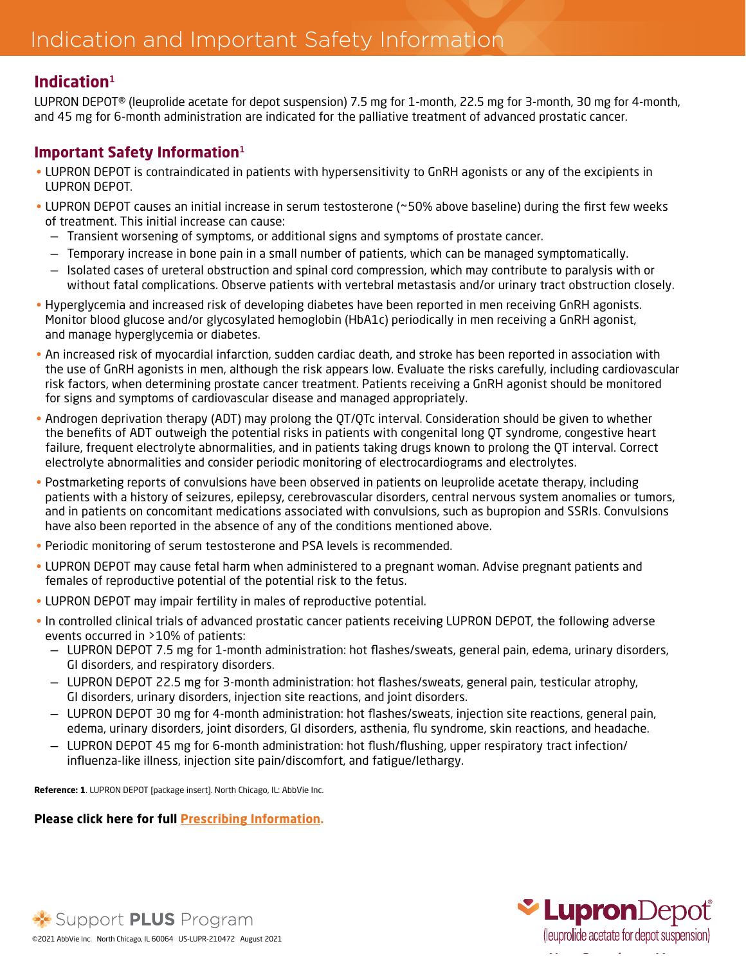### <span id="page-1-0"></span>**Indication**<sup>1</sup>

LUPRON DEPOT® (leuprolide acetate for depot suspension) 7.5 mg for 1-month, 22.5 mg for 3-month, 30 mg for 4-month, and 45 mg for 6-month administration are indicated for the palliative treatment of advanced prostatic cancer.

#### **Important Safety Information**<sup>1</sup>

- LUPRON DEPOT is contraindicated in patients with hypersensitivity to GnRH agonists or any of the excipients in LUPRON DEPOT.
- LUPRON DEPOT causes an initial increase in serum testosterone (~50% above baseline) during the first few weeks of treatment. This initial increase can cause:
	- Transient worsening of symptoms, or additional signs and symptoms of prostate cancer.
	- Temporary increase in bone pain in a small number of patients, which can be managed symptomatically.
	- Isolated cases of ureteral obstruction and spinal cord compression, which may contribute to paralysis with or without fatal complications. Observe patients with vertebral metastasis and/or urinary tract obstruction closely.
- Hyperglycemia and increased risk of developing diabetes have been reported in men receiving GnRH agonists. Monitor blood glucose and/or glycosylated hemoglobin (HbA1c) periodically in men receiving a GnRH agonist, and manage hyperglycemia or diabetes.
- An increased risk of myocardial infarction, sudden cardiac death, and stroke has been reported in association with the use of GnRH agonists in men, although the risk appears low. Evaluate the risks carefully, including cardiovascular risk factors, when determining prostate cancer treatment. Patients receiving a GnRH agonist should be monitored for signs and symptoms of cardiovascular disease and managed appropriately.
- Androgen deprivation therapy (ADT) may prolong the QT/QTc interval. Consideration should be given to whether the benefits of ADT outweigh the potential risks in patients with congenital long QT syndrome, congestive heart failure, frequent electrolyte abnormalities, and in patients taking drugs known to prolong the QT interval. Correct electrolyte abnormalities and consider periodic monitoring of electrocardiograms and electrolytes.
- Postmarketing reports of convulsions have been observed in patients on leuprolide acetate therapy, including patients with a history of seizures, epilepsy, cerebrovascular disorders, central nervous system anomalies or tumors, and in patients on concomitant medications associated with convulsions, such as bupropion and SSRIs. Convulsions have also been reported in the absence of any of the conditions mentioned above.
- Periodic monitoring of serum testosterone and PSA levels is recommended.
- LUPRON DEPOT may cause fetal harm when administered to a pregnant woman. Advise pregnant patients and females of reproductive potential of the potential risk to the fetus.
- LUPRON DEPOT may impair fertility in males of reproductive potential.
- In controlled clinical trials of advanced prostatic cancer patients receiving LUPRON DEPOT, the following adverse events occurred in >10% of patients:
	- LUPRON DEPOT 7.5 mg for 1-month administration: hot flashes/sweats, general pain, edema, urinary disorders, GI disorders, and respiratory disorders.
	- LUPRON DEPOT 22.5 mg for 3-month administration: hot flashes/sweats, general pain, testicular atrophy, GI disorders, urinary disorders, injection site reactions, and joint disorders.
	- LUPRON DEPOT 30 mg for 4-month administration: hot flashes/sweats, injection site reactions, general pain, edema, urinary disorders, joint disorders, GI disorders, asthenia, flu syndrome, skin reactions, and headache.
	- LUPRON DEPOT 45 mg for 6-month administration: hot flush/flushing, upper respiratory tract infection/ influenza-like illness, injection site pain/discomfort, and fatigue/lethargy.

**Reference: 1**. LUPRON DEPOT [package insert]. North Chicago, IL: AbbVie Inc.

#### **[Please click here for full Prescribing Information.](https://www.rxabbvie.com/pdf/lupronuro_pi.pdf)**



**X:** Support PLUS Program ©2021 AbbVie Inc. North Chicago, IL 60064 US-LUPR-210472 August 2021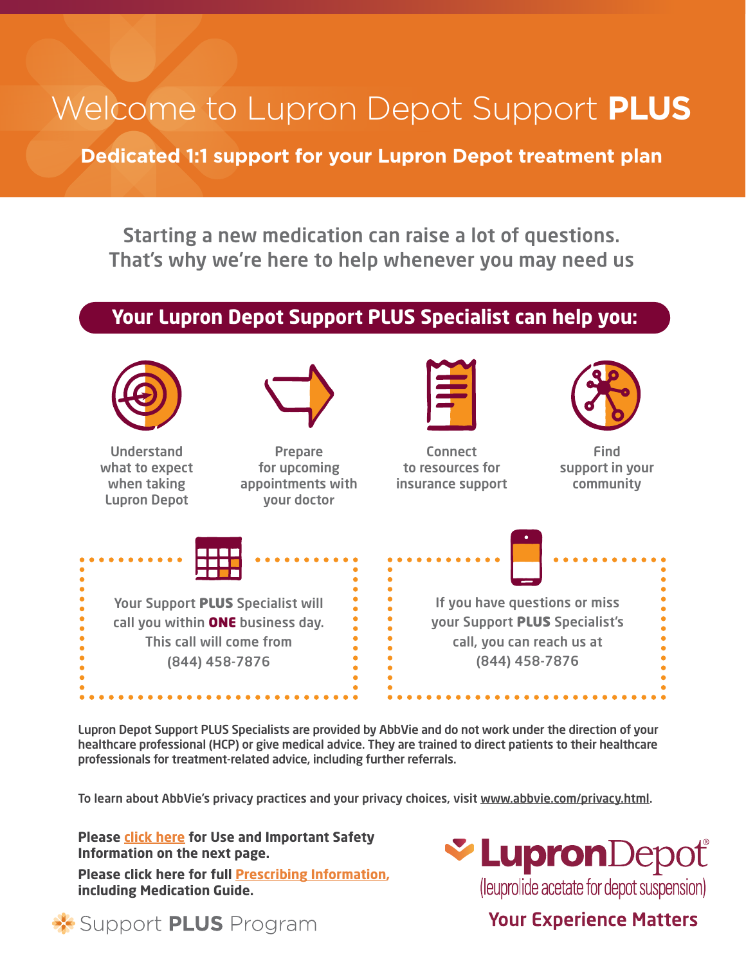# Welcome to Lupron Depot Support **PLUS**

**Dedicated 1:1 support for your Lupron Depot treatment plan**

Starting a new medication can raise a lot of questions. That's why we're here to help whenever you may need us

### **Your Lupron Depot Support PLUS Specialist can help you:**



Lupron Depot Support PLUS Specialists are provided by AbbVie and do not work under the direction of your healthcare professional (HCP) or give medical advice. They are trained to direct patients to their healthcare professionals for treatment-related advice, including further referrals.

To learn about AbbVie's privacy practices and your privacy choices, visit [www.abbvie.com/privacy.html.](http://www.abbvie.com/privacy.html)

**Please click here for [Use and Important Safety](#page-3-0)  [Information on the next page.](#page-3-0)**

**Please click here for full [Prescribing Information](https://www.rxabbvie.com/pdf/lupronuro_pi.pdf), including Medication Guide.**



# **Your Experience Matters**